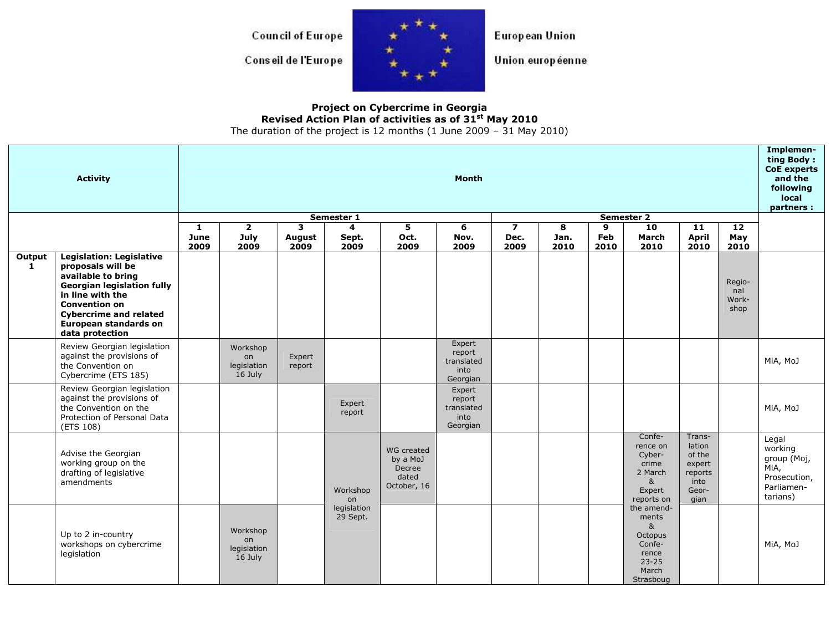**Council of Europe** 

Conseil de l'Europe



European Union

Union européenne

## Project on Cybercrime in Georgia<br>Revised Action Plan of activities as of 31<sup>st</sup> May 2010

The duration of the project is 12 months (1 June 2009 – 31 May 2010)

|                        | <b>Activity</b>                                                                                                                                                                                                                          | Month             |                                          |                            |                         |                                                          |                                                    |                                         |                   |                  |                                                                                                        |                                                                          |                                | Implemen-<br>ting Body:<br>CoE experts<br>and the<br>following<br>local<br>partners : |
|------------------------|------------------------------------------------------------------------------------------------------------------------------------------------------------------------------------------------------------------------------------------|-------------------|------------------------------------------|----------------------------|-------------------------|----------------------------------------------------------|----------------------------------------------------|-----------------------------------------|-------------------|------------------|--------------------------------------------------------------------------------------------------------|--------------------------------------------------------------------------|--------------------------------|---------------------------------------------------------------------------------------|
|                        | Semester 2<br>Semester 1                                                                                                                                                                                                                 |                   |                                          |                            |                         |                                                          |                                                    |                                         |                   |                  |                                                                                                        |                                                                          |                                |                                                                                       |
|                        |                                                                                                                                                                                                                                          | 1<br>June<br>2009 | $\mathbf{2}$<br>July<br>2009             | 3<br><b>August</b><br>2009 | 4<br>Sept.<br>2009      | 5<br>Oct.<br>2009                                        | 6<br>Nov.<br>2009                                  | $\overline{\mathbf{z}}$<br>Dec.<br>2009 | 8<br>Jan.<br>2010 | 9<br>Feb<br>2010 | 10<br>March<br>2010                                                                                    | 11<br><b>April</b><br>2010                                               | 12<br>May<br>2010              |                                                                                       |
| Output<br>$\mathbf{1}$ | <b>Legislation: Legislative</b><br>proposals will be<br>available to bring<br><b>Georgian legislation fully</b><br>in line with the<br><b>Convention on</b><br><b>Cybercrime and related</b><br>European standards on<br>data protection |                   |                                          |                            |                         |                                                          |                                                    |                                         |                   |                  |                                                                                                        |                                                                          | Regio-<br>nal<br>Work-<br>shop |                                                                                       |
|                        | Review Georgian legislation<br>against the provisions of<br>the Convention on<br>Cybercrime (ETS 185)                                                                                                                                    |                   | Workshop<br>on<br>legislation<br>16 July | Expert<br>report           |                         |                                                          | Expert<br>report<br>translated<br>into<br>Georgian |                                         |                   |                  |                                                                                                        |                                                                          |                                | MiA, MoJ                                                                              |
|                        | Review Georgian legislation<br>against the provisions of<br>the Convention on the<br>Protection of Personal Data<br>(ETS 108)                                                                                                            |                   |                                          |                            | Expert<br>report        |                                                          | Expert<br>report<br>translated<br>into<br>Georgian |                                         |                   |                  |                                                                                                        |                                                                          |                                | MiA, MoJ                                                                              |
|                        | Advise the Georgian<br>working group on the<br>drafting of legislative<br>amendments                                                                                                                                                     |                   |                                          |                            | Workshop<br>on          | WG created<br>by a MoJ<br>Decree<br>dated<br>October, 16 |                                                    |                                         |                   |                  | Confe-<br>rence on<br>Cyber-<br>crime<br>2 March<br>8 <sub>k</sub><br>Expert<br>reports on             | Trans-<br>lation<br>of the<br>expert<br>reports<br>into<br>Geor-<br>gian |                                | Legal<br>working<br>group (Moj,<br>MiA,<br>Prosecution,<br>Parliamen-<br>tarians)     |
|                        | Up to 2 in-country<br>workshops on cybercrime<br>legislation                                                                                                                                                                             |                   | Workshop<br>on<br>legislation<br>16 July |                            | legislation<br>29 Sept. |                                                          |                                                    |                                         |                   |                  | the amend-<br>ments<br>8 <sub>k</sub><br>Octopus<br>Confe-<br>rence<br>$23 - 25$<br>March<br>Strasboug |                                                                          |                                | MiA, MoJ                                                                              |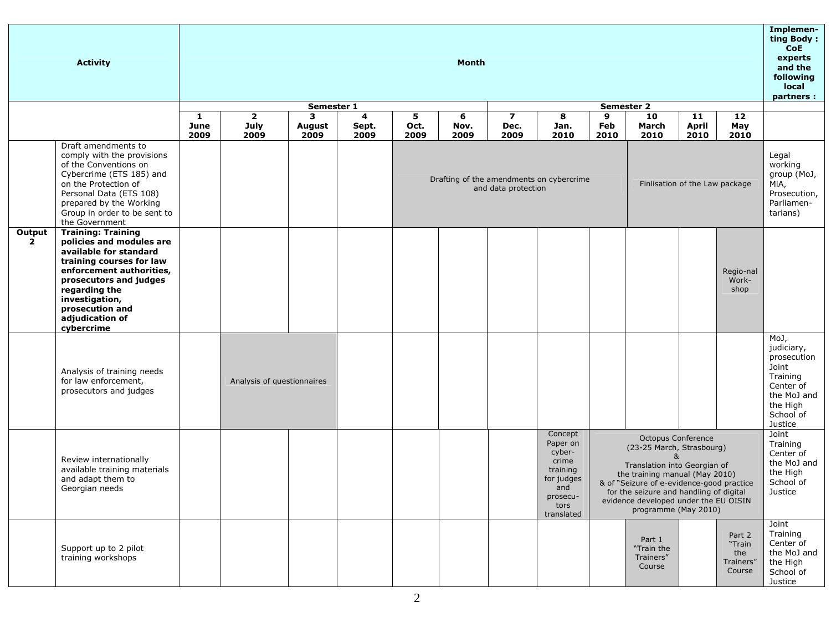|                               | <b>Activity</b>                                                                                                                                                                                                                                          | <b>Month</b>             |                                |                            |                    |                                                                                                   |                   |                   |                                                                                                           |                  |                                                                                                                                                                                                                                                                                            |                     | Implemen-<br>ting Body:<br><b>CoE</b><br>experts<br>and the<br>following<br>local<br>partners : |                                                                                                                        |
|-------------------------------|----------------------------------------------------------------------------------------------------------------------------------------------------------------------------------------------------------------------------------------------------------|--------------------------|--------------------------------|----------------------------|--------------------|---------------------------------------------------------------------------------------------------|-------------------|-------------------|-----------------------------------------------------------------------------------------------------------|------------------|--------------------------------------------------------------------------------------------------------------------------------------------------------------------------------------------------------------------------------------------------------------------------------------------|---------------------|-------------------------------------------------------------------------------------------------|------------------------------------------------------------------------------------------------------------------------|
|                               |                                                                                                                                                                                                                                                          | Semester 2<br>Semester 1 |                                |                            |                    |                                                                                                   |                   |                   |                                                                                                           |                  |                                                                                                                                                                                                                                                                                            |                     |                                                                                                 |                                                                                                                        |
|                               |                                                                                                                                                                                                                                                          | 1<br>June<br>2009        | $\overline{2}$<br>July<br>2009 | 3<br><b>August</b><br>2009 | 4<br>Sept.<br>2009 | 5<br>Oct.<br>2009                                                                                 | 6<br>Nov.<br>2009 | 7<br>Dec.<br>2009 | 8<br>Jan.<br>2010                                                                                         | 9<br>Feb<br>2010 | 10<br>March<br>2010                                                                                                                                                                                                                                                                        | 11<br>April<br>2010 | 12<br>May<br>2010                                                                               |                                                                                                                        |
|                               | Draft amendments to<br>comply with the provisions<br>of the Conventions on<br>Cybercrime (ETS 185) and<br>on the Protection of<br>Personal Data (ETS 108)<br>prepared by the Working<br>Group in order to be sent to<br>the Government                   |                          |                                |                            |                    | Drafting of the amendments on cybercrime<br>Finlisation of the Law package<br>and data protection |                   |                   |                                                                                                           |                  |                                                                                                                                                                                                                                                                                            |                     |                                                                                                 | Legal<br>working<br>group (MoJ,<br>MiA,<br>Prosecution,<br>Parliamen-<br>tarians)                                      |
| <b>Output</b><br>$\mathbf{2}$ | <b>Training: Training</b><br>policies and modules are<br>available for standard<br>training courses for law<br>enforcement authorities,<br>prosecutors and judges<br>regarding the<br>investigation,<br>prosecution and<br>adjudication of<br>cybercrime |                          |                                |                            |                    |                                                                                                   |                   |                   |                                                                                                           |                  |                                                                                                                                                                                                                                                                                            |                     | Regio-nal<br>Work-<br>shop                                                                      |                                                                                                                        |
|                               | Analysis of training needs<br>for law enforcement,<br>prosecutors and judges                                                                                                                                                                             |                          | Analysis of questionnaires     |                            |                    |                                                                                                   |                   |                   |                                                                                                           |                  |                                                                                                                                                                                                                                                                                            |                     |                                                                                                 | MoJ,<br>judiciary,<br>prosecution<br>Joint<br>Training<br>Center of<br>the MoJ and<br>the High<br>School of<br>Justice |
|                               | Review internationally<br>available training materials<br>and adapt them to<br>Georgian needs                                                                                                                                                            |                          |                                |                            |                    |                                                                                                   |                   |                   | Concept<br>Paper on<br>cyber-<br>crime<br>training<br>for judges<br>and<br>prosecu-<br>tors<br>translated |                  | Octopus Conference<br>(23-25 March, Strasbourg)<br>$\mathbf{R}$<br>Translation into Georgian of<br>the training manual (May 2010)<br>& of "Seizure of e-evidence-good practice<br>for the seizure and handling of digital<br>evidence developed under the EU OISIN<br>programme (May 2010) |                     |                                                                                                 | Joint<br>Training<br>Center of<br>the MoJ and<br>the High<br>School of<br>Justice                                      |
|                               | Support up to 2 pilot<br>training workshops                                                                                                                                                                                                              |                          |                                |                            |                    |                                                                                                   |                   |                   |                                                                                                           |                  | Part 1<br>"Train the<br>Trainers"<br>Course                                                                                                                                                                                                                                                |                     | Part 2<br>"Train<br>the<br>Trainers"<br>Course                                                  | Joint<br>Training<br>Center of<br>the MoJ and<br>the High<br>School of<br>Justice                                      |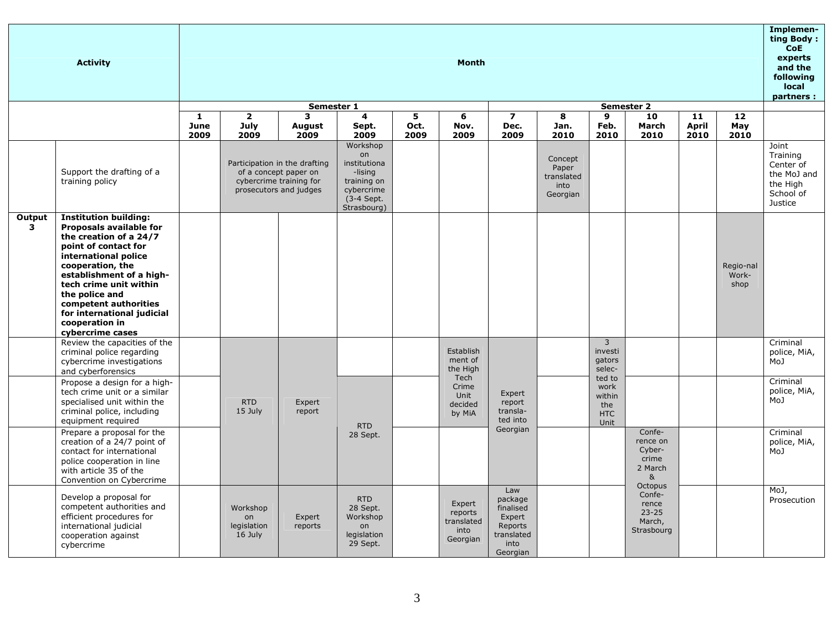|                                   | <b>Activity</b>                                                                                                                                                                                                                                                                                                            |              |                                          |                                                                                                             | <b>Month</b>                                                                                        |              |                                                     |                                                                                    |                                                    |                                                       |                                                                         |                     |                            |                                                                                   |
|-----------------------------------|----------------------------------------------------------------------------------------------------------------------------------------------------------------------------------------------------------------------------------------------------------------------------------------------------------------------------|--------------|------------------------------------------|-------------------------------------------------------------------------------------------------------------|-----------------------------------------------------------------------------------------------------|--------------|-----------------------------------------------------|------------------------------------------------------------------------------------|----------------------------------------------------|-------------------------------------------------------|-------------------------------------------------------------------------|---------------------|----------------------------|-----------------------------------------------------------------------------------|
|                                   |                                                                                                                                                                                                                                                                                                                            | $\mathbf{1}$ | $\overline{\mathbf{2}}$                  | Semester 1<br>3                                                                                             | 4                                                                                                   | 5            | 6                                                   | $\overline{ }$                                                                     |                                                    |                                                       |                                                                         |                     |                            |                                                                                   |
|                                   |                                                                                                                                                                                                                                                                                                                            | June<br>2009 | July<br>2009                             | August<br>2009                                                                                              | Sept.<br>2009                                                                                       | Oct.<br>2009 | Nov.<br>2009                                        | Dec.<br>2009                                                                       | 8<br>Jan.<br>2010                                  | 9<br>Feb.<br>2010                                     | 10<br>March<br>2010                                                     | 11<br>April<br>2010 | 12<br>May<br>2010          |                                                                                   |
|                                   | Support the drafting of a<br>training policy                                                                                                                                                                                                                                                                               |              |                                          | Participation in the drafting<br>of a concept paper on<br>cybercrime training for<br>prosecutors and judges | Workshop<br>on<br>institutiona<br>-lising<br>training on<br>cybercrime<br>(3-4 Sept.<br>Strasbourg) |              |                                                     |                                                                                    | Concept<br>Paper<br>translated<br>into<br>Georgian |                                                       |                                                                         |                     |                            | Joint<br>Training<br>Center of<br>the MoJ and<br>the High<br>School of<br>Justice |
| Output<br>$\overline{\mathbf{3}}$ | <b>Institution building:</b><br>Proposals available for<br>the creation of a 24/7<br>point of contact for<br>international police<br>cooperation, the<br>establishment of a high-<br>tech crime unit within<br>the police and<br>competent authorities<br>for international judicial<br>cooperation in<br>cybercrime cases |              |                                          |                                                                                                             |                                                                                                     |              |                                                     |                                                                                    |                                                    |                                                       |                                                                         |                     | Regio-nal<br>Work-<br>shop |                                                                                   |
|                                   | Review the capacities of the<br>criminal police regarding<br>cybercrime investigations<br>and cyberforensics                                                                                                                                                                                                               |              |                                          |                                                                                                             |                                                                                                     |              | Establish<br>ment of<br>the High                    |                                                                                    |                                                    | $\overline{3}$<br>investi<br>gators<br>selec-         |                                                                         |                     |                            | Criminal<br>police, MiA,<br>MoJ                                                   |
|                                   | Propose a design for a high-<br>tech crime unit or a similar<br>specialised unit within the<br>criminal police, including<br>equipment required                                                                                                                                                                            |              | <b>RTD</b><br>15 July                    | Expert<br>report                                                                                            | <b>RTD</b>                                                                                          |              | Tech<br>Crime<br>Unit<br>decided<br>by MiA          | Expert<br>report<br>transla-<br>ted into                                           |                                                    | ted to<br>work<br>within<br>the<br><b>HTC</b><br>Unit |                                                                         |                     |                            | Criminal<br>police, MiA,<br>MoJ                                                   |
|                                   | Prepare a proposal for the<br>creation of a 24/7 point of<br>contact for international<br>police cooperation in line<br>with article 35 of the<br>Convention on Cybercrime                                                                                                                                                 |              |                                          |                                                                                                             | 28 Sept.                                                                                            |              |                                                     | Georgian                                                                           |                                                    |                                                       | Confe-<br>rence on<br>Cyber-<br>crime<br>2 March<br>&<br><b>Octopus</b> |                     |                            | Criminal<br>police, MiA,<br>MoJ                                                   |
|                                   | Develop a proposal for<br>competent authorities and<br>efficient procedures for<br>international judicial<br>cooperation against<br>cybercrime                                                                                                                                                                             |              | Workshop<br>on<br>legislation<br>16 July | Expert<br>reports                                                                                           | <b>RTD</b><br>28 Sept.<br>Workshop<br>on<br>legislation<br>29 Sept.                                 |              | Expert<br>reports<br>translated<br>into<br>Georgian | Law<br>package<br>finalised<br>Expert<br>Reports<br>translated<br>into<br>Georgian |                                                    |                                                       | Confe-<br>rence<br>$23 - 25$<br>March,<br>Strasbourg                    |                     |                            | MoJ,<br>Prosecution                                                               |